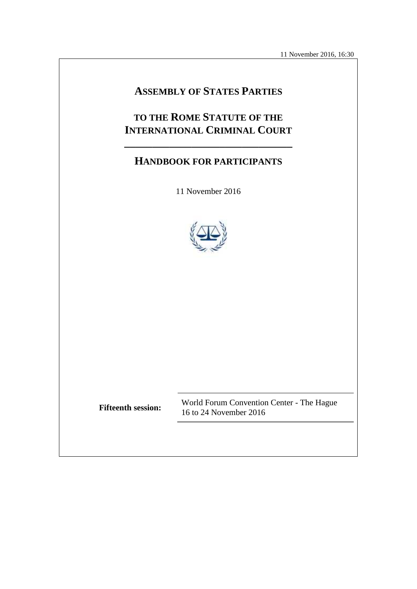11 November 2016, 16:30

# **ASSEMBLY OF STATES PARTIES**

# **TO THE ROME STATUTE OF THE INTERNATIONAL CRIMINAL COURT**

# **HANDBOOK FOR PARTICIPANTS**

**\_\_\_\_\_\_\_\_\_\_\_\_\_\_\_\_\_\_\_\_\_\_\_\_\_\_\_\_\_\_**

11 November 2016



**Fifteenth session:** World Forum Convention Center - The Hague 16 to 24 November 2016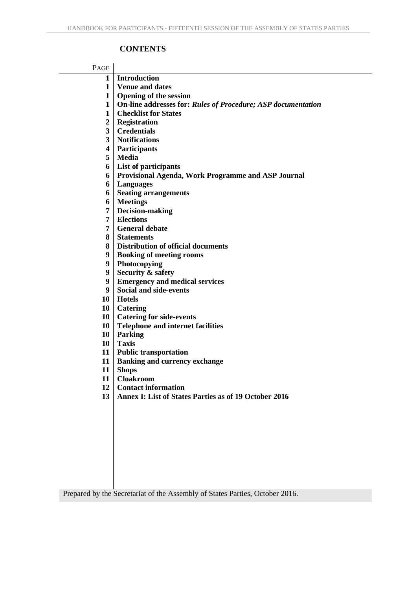## **CONTENTS**

| PAGE                    |                                                                                            |
|-------------------------|--------------------------------------------------------------------------------------------|
| $\mathbf{1}$            | Introduction                                                                               |
| 1                       | <b>Venue and dates</b>                                                                     |
| $\mathbf{1}$            | <b>Opening of the session</b>                                                              |
| $\mathbf{1}$            | On-line addresses for: Rules of Procedure; ASP documentation                               |
| $\mathbf 1$             | <b>Checklist for States</b>                                                                |
| $\overline{2}$          | Registration                                                                               |
| $\overline{\mathbf{3}}$ | <b>Credentials</b>                                                                         |
| 3                       | <b>Notifications</b>                                                                       |
| 4                       | <b>Participants</b>                                                                        |
| 5                       | Media                                                                                      |
| 6                       | List of participants                                                                       |
| 6                       | <b>Provisional Agenda, Work Programme and ASP Journal</b>                                  |
| 6                       | <b>Languages</b>                                                                           |
| 6                       | <b>Seating arrangements</b>                                                                |
| 6<br>7                  | <b>Meetings</b>                                                                            |
| 7                       | Decision-making<br><b>Elections</b>                                                        |
| 7                       | <b>General debate</b>                                                                      |
| 8                       | <b>Statements</b>                                                                          |
| 8                       | <b>Distribution of official documents</b>                                                  |
| 9                       | <b>Booking of meeting rooms</b>                                                            |
| 9                       | Photocopying                                                                               |
| 9                       | <b>Security &amp; safety</b>                                                               |
| 9                       | <b>Emergency and medical services</b>                                                      |
| 9                       | <b>Social and side-events</b>                                                              |
| 10                      | <b>Hotels</b>                                                                              |
|                         | 10 Catering                                                                                |
|                         | 10   Catering for side-events                                                              |
| 10 <sup>1</sup>         | <b>Telephone and internet facilities</b>                                                   |
| $10-1$                  | Parking                                                                                    |
| 10 <sup>1</sup>         | <b>Taxis</b>                                                                               |
|                         | 11   Public transportation                                                                 |
| 11 <sup>1</sup>         | <b>Banking and currency exchange</b>                                                       |
| 11                      | <b>Shops</b>                                                                               |
| 11                      | <b>Cloakroom</b>                                                                           |
| 12                      | <b>Contact information</b><br><b>Annex I: List of States Parties as of 19 October 2016</b> |
| 13                      |                                                                                            |
|                         |                                                                                            |
|                         |                                                                                            |
|                         |                                                                                            |
|                         |                                                                                            |
|                         |                                                                                            |
|                         |                                                                                            |
|                         |                                                                                            |
|                         |                                                                                            |
|                         |                                                                                            |

Prepared by the Secretariat of the Assembly of States Parties, October 2016.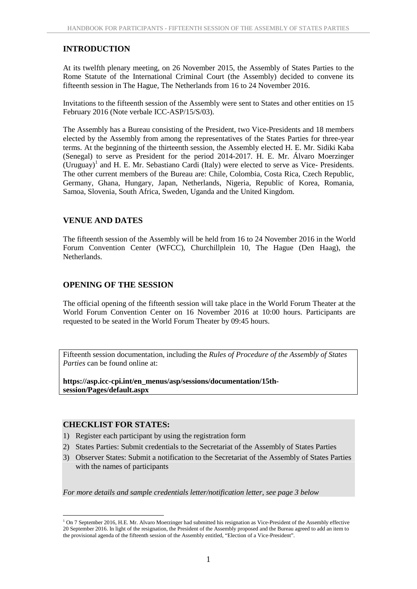#### **INTRODUCTION**

At its twelfth plenary meeting, on 26 November 2015, the Assembly of States Parties to the Rome Statute of the International Criminal Court (the Assembly) decided to convene its fifteenth session in The Hague, The Netherlands from 16 to 24 November 2016.

Invitations to the fifteenth session of the Assembly were sent to States and other entities on 15 February 2016 (Note verbale ICC-ASP/15/S/03).

The Assembly has a Bureau consisting of the President, two Vice-Presidents and 18 members elected by the Assembly from among the representatives of the States Parties for three-year terms. At the beginning of the thirteenth session, the Assembly elected H. E. Mr. Sidiki Kaba (Senegal) to serve as President for the period 2014-2017. H. E. Mr. Álvaro Moerzinger  $(Uruguay)<sup>1</sup>$  and H. E. Mr. Sebastiano Cardi (Italy) were elected to serve as Vice- Presidents. The other current members of the Bureau are: Chile, Colombia, Costa Rica, Czech Republic, Germany, Ghana, Hungary, Japan, Netherlands, Nigeria, Republic of Korea, Romania, Samoa, Slovenia, South Africa, Sweden, Uganda and the United Kingdom.

## **VENUE AND DATES**

The fifteenth session of the Assembly will be held from 16 to 24 November 2016 in the World Forum Convention Center (WFCC), Churchillplein 10, The Hague (Den Haag), the Netherlands.

#### **OPENING OF THE SESSION**

The official opening of the fifteenth session will take place in the World Forum Theater at the World Forum Convention Center on 16 November 2016 at 10:00 hours. Participants are requested to be seated in the World Forum Theater by 09:45 hours.

Fifteenth session documentation, including the *Rules of Procedure of the Assembly of States Parties* can be found online at:

**https://asp.icc-cpi.int/en\_menus/asp/sessions/documentation/15th session/Pages/default.aspx**

#### **CHECKLIST FOR STATES:**

- 1) Register each participant by using the registration form
- 2) States Parties: Submit credentials to the Secretariat of the Assembly of States Parties
- 3) Observer States: Submit a notification to the Secretariat of the Assembly of States Parties with the names of participants

*For more details and sample credentials letter/notification letter, see page 3 below*

 $1$  On 7 September 2016, H.E. Mr. Alvaro Moerzinger had submitted his resignation as Vice-President of the Assembly effective 20 September 2016. In light of the resignation, the President of the Assembly proposed and the Bureau agreed to add an item to the provisional agenda of the fifteenth session of the Assembly entitled, "Election of a Vice-President".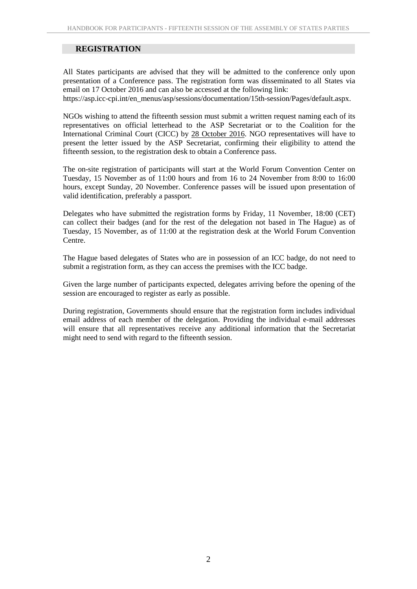## **REGISTRATION**

All States participants are advised that they will be admitted to the conference only upon presentation of a Conference pass. The registration form was disseminated to all States via email on 17 October 2016 and can also be accessed at the following link:

https://asp.icc-cpi.int/en\_menus/asp/sessions/documentation/15th-session/Pages/default.aspx.

NGOs wishing to attend the fifteenth session must submit a written request naming each of its representatives on official letterhead to the ASP Secretariat or to the Coalition for the International Criminal Court (CICC) by 28 October 2016. NGO representatives will have to present the letter issued by the ASP Secretariat, confirming their eligibility to attend the fifteenth session, to the registration desk to obtain a Conference pass.

The on-site registration of participants will start at the World Forum Convention Center on Tuesday, 15 November as of 11:00 hours and from 16 to 24 November from 8:00 to 16:00 hours, except Sunday, 20 November. Conference passes will be issued upon presentation of valid identification, preferably a passport.

Delegates who have submitted the registration forms by Friday, 11 November, 18:00 (CET) can collect their badges (and for the rest of the delegation not based in The Hague) as of Tuesday, 15 November, as of 11:00 at the registration desk at the World Forum Convention Centre.

The Hague based delegates of States who are in possession of an ICC badge, do not need to submit a registration form, as they can access the premises with the ICC badge.

Given the large number of participants expected, delegates arriving before the opening of the session are encouraged to register as early as possible.

During registration, Governments should ensure that the registration form includes individual email address of each member of the delegation. Providing the individual e-mail addresses will ensure that all representatives receive any additional information that the Secretariat might need to send with regard to the fifteenth session.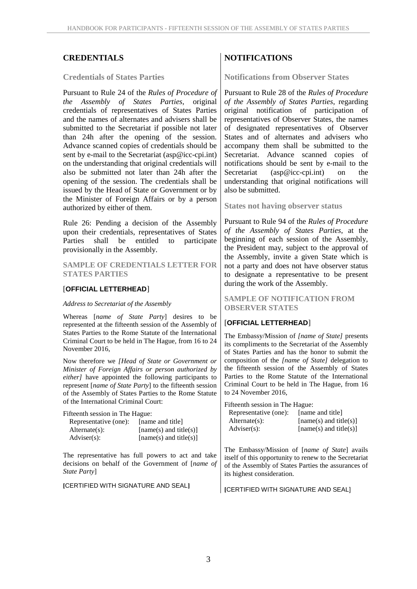#### **Credentials of States Parties**

Pursuant to Rule 24 of the *Rules of Procedure of the Assembly of States Parties*, original credentials of representatives of States Parties and the names of alternates and advisers shall be submitted to the Secretariat if possible not later than 24h after the opening of the session. Advance scanned copies of credentials should be sent by e-mail to the Secretariat (asp@icc-cpi.int) on the understanding that original credentials will also be submitted not later than 24h after the opening of the session. The credentials shall be issued by the Head of State or Government or by the Minister of Foreign Affairs or by a person authorized by either of them.

Rule 26: Pending a decision of the Assembly upon their credentials, representatives of States Parties shall be entitled to participate provisionally in the Assembly.

**SAMPLE OF CREDENTIALS LETTER FOR STATES PARTIES**

#### [**OFFICIAL LETTERHEAD**]

#### *Address to Secretariat of the Assembly*

Whereas [*name of State Party*] desires to be represented at the fifteenth session of the Assembly of States Parties to the Rome Statute of the International Criminal Court to be held in The Hague, from 16 to 24 November 2016,

Now therefore we *[Head of State or Government or Minister of Foreign Affairs or person authorized by either]* have appointed the following participants to represent [*name of State Party*] to the fifteenth session of the Assembly of States Parties to the Rome Statute of the International Criminal Court:

Fifteenth session in The Hague:

| Representative (one): | [name and title]         |  |
|-----------------------|--------------------------|--|
| $Alternate(s)$ :      | $[name(s)$ and title(s)] |  |
| $\text{Adviser}(s)$ : | $[name(s)$ and title(s)] |  |

The representative has full powers to act and take decisions on behalf of the Government of [*name of State Party*]

**[**CERTIFIED WITH SIGNATURE AND SEAL**]**

## **CREDENTIALS NOTIFICATIONS**

**Notifications from Observer States**

Pursuant to Rule 28 of the *Rules of Procedure of the Assembly of States Parties*, regarding original notification of participation of representatives of Observer States, the names of designated representatives of Observer States and of alternates and advisers who accompany them shall be submitted to the Secretariat. Advance scanned copies of notifications should be sent by e-mail to the  $(\text{asp@icc-cpi.int})$  on the understanding that original notifications will also be submitted.

**States not having observer status**

Pursuant to Rule 94 of the *Rules of Procedure of the Assembly of States Parties*, at the beginning of each session of the Assembly, the President may, subject to the approval of the Assembly, invite a given State which is not a party and does not have observer status to designate a representative to be present during the work of the Assembly.

**SAMPLE OF NOTIFICATION FROM OBSERVER STATES**

#### [**OFFICIAL LETTERHEAD**]

The Embassy/Mission of *[name of State]* presents its compliments to the Secretariat of the Assembly of States Parties and has the honor to submit the composition of the *[name of State]* delegation to the fifteenth session of the Assembly of States Parties to the Rome Statute of the International Criminal Court to be held in The Hague, from 16 to 24 November 2016,

Fifteenth session in The Hague:

| Representative (one): | [name and title]       |
|-----------------------|------------------------|
| $Alternate(s)$ :      | [name(s) and title(s)] |
| $Adviser(s)$ :        | [name(s) and title(s)] |

The Embassy/Mission of [*name of State*] avails itself of this opportunity to renew to the Secretariat of the Assembly of States Parties the assurances of its highest consideration.

**[**CERTIFIED WITH SIGNATURE AND SEAL]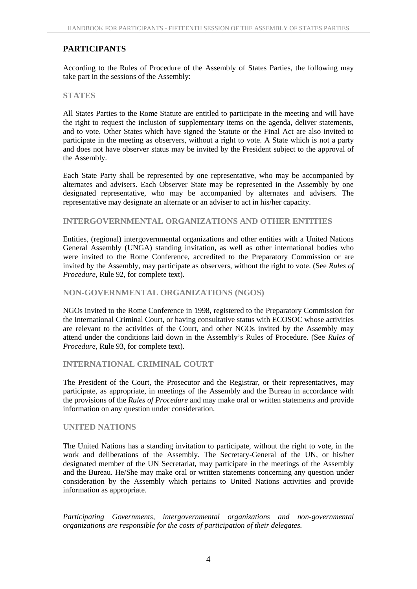## **PARTICIPANTS**

According to the Rules of Procedure of the Assembly of States Parties, the following may take part in the sessions of the Assembly:

#### **STATES**

All States Parties to the Rome Statute are entitled to participate in the meeting and will have the right to request the inclusion of supplementary items on the agenda, deliver statements, and to vote. Other States which have signed the Statute or the Final Act are also invited to participate in the meeting as observers, without a right to vote. A State which is not a party and does not have observer status may be invited by the President subject to the approval of the Assembly.

Each State Party shall be represented by one representative, who may be accompanied by alternates and advisers. Each Observer State may be represented in the Assembly by one designated representative, who may be accompanied by alternates and advisers. The representative may designate an alternate or an adviser to act in his/her capacity.

#### **INTERGOVERNMENTAL ORGANIZATIONS AND OTHER ENTITIES**

Entities, (regional) intergovernmental organizations and other entities with a United Nations General Assembly (UNGA) standing invitation, as well as other international bodies who were invited to the Rome Conference, accredited to the Preparatory Commission or are invited by the Assembly, may participate as observers, without the right to vote. (See *Rules of Procedure*, Rule 92, for complete text).

#### **NON-GOVERNMENTAL ORGANIZATIONS (NGOS)**

NGOs invited to the Rome Conference in 1998, registered to the Preparatory Commission for the International Criminal Court, or having consultative status with ECOSOC whose activities are relevant to the activities of the Court, and other NGOs invited by the Assembly may attend under the conditions laid down in the Assembly's Rules of Procedure. (See *Rules of Procedure*, Rule 93, for complete text).

#### **INTERNATIONAL CRIMINAL COURT**

The President of the Court, the Prosecutor and the Registrar, or their representatives, may participate, as appropriate, in meetings of the Assembly and the Bureau in accordance with the provisions of the *Rules of Procedure* and may make oral or written statements and provide information on any question under consideration.

#### **UNITED NATIONS**

The United Nations has a standing invitation to participate, without the right to vote, in the work and deliberations of the Assembly. The Secretary-General of the UN, or his/her designated member of the UN Secretariat, may participate in the meetings of the Assembly and the Bureau. He/She may make oral or written statements concerning any question under consideration by the Assembly which pertains to United Nations activities and provide information as appropriate.

*Participating Governments, intergovernmental organizations and non-governmental organizations are responsible for the costs of participation of their delegates.*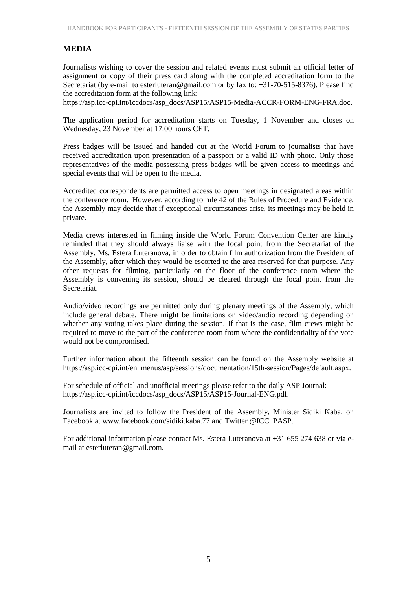## **MEDIA**

Journalists wishing to cover the session and related events must submit an official letter of assignment or copy of their press card along with the completed accreditation form to the Secretariat (by e-mail to esterluteran@gmail.com or by fax to: +31-70-515-8376). Please find the accreditation form at the following link:

https://asp.icc-cpi.int/iccdocs/asp\_docs/ASP15/ASP15-Media-ACCR-FORM-ENG-FRA.doc.

The application period for accreditation starts on Tuesday, 1 November and closes on Wednesday, 23 November at 17:00 hours CET.

Press badges will be issued and handed out at the World Forum to journalists that have received accreditation upon presentation of a passport or a valid ID with photo. Only those representatives of the media possessing press badges will be given access to meetings and special events that will be open to the media.

Accredited correspondents are permitted access to open meetings in designated areas within the conference room. However, according to rule 42 of the Rules of Procedure and Evidence, the Assembly may decide that if exceptional circumstances arise, its meetings may be held in private.

Media crews interested in filming inside the World Forum Convention Center are kindly reminded that they should always liaise with the focal point from the Secretariat of the Assembly, Ms. Estera Luteranova, in order to obtain film authorization from the President of the Assembly, after which they would be escorted to the area reserved for that purpose. Any other requests for filming, particularly on the floor of the conference room where the Assembly is convening its session, should be cleared through the focal point from the Secretariat.

Audio/video recordings are permitted only during plenary meetings of the Assembly, which include general debate. There might be limitations on video/audio recording depending on whether any voting takes place during the session. If that is the case, film crews might be required to move to the part of the conference room from where the confidentiality of the vote would not be compromised.

Further information about the fifteenth session can be found on the Assembly website at https://asp.icc-cpi.int/en\_menus/asp/sessions/documentation/15th-session/Pages/default.aspx.

For schedule of official and unofficial meetings please refer to the daily ASP Journal: https://asp.icc-cpi.int/iccdocs/asp\_docs/ASP15/ASP15-Journal-ENG.pdf.

Journalists are invited to follow the President of the Assembly, Minister Sidiki Kaba, on Facebook at www.facebook.com/sidiki.kaba.77 and Twitter @ICC\_PASP.

For additional information please contact Ms. Estera Luteranova at +31 655 274 638 or via e mail at esterluteran@gmail.com.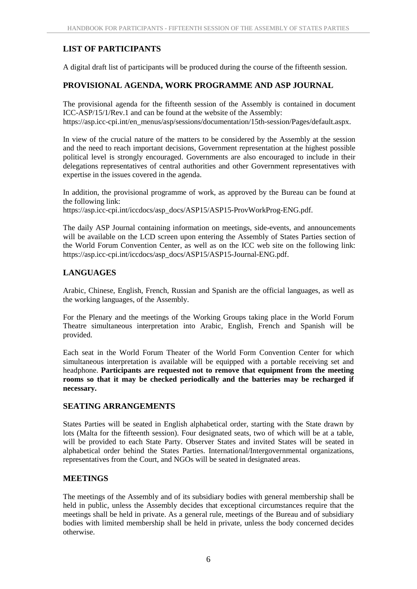# **LIST OF PARTICIPANTS**

A digital draft list of participants will be produced during the course of the fifteenth session.

## **PROVISIONAL AGENDA, WORK PROGRAMME AND ASP JOURNAL**

The provisional agenda for the fifteenth session of the Assembly is contained in document ICC-ASP/15/1/Rev.1 and can be found at the website of the Assembly: https://asp.icc-cpi.int/en\_menus/asp/sessions/documentation/15th-session/Pages/default.aspx.

In view of the crucial nature of the matters to be considered by the Assembly at the session and the need to reach important decisions, Government representation at the highest possible political level is strongly encouraged. Governments are also encouraged to include in their delegations representatives of central authorities and other Government representatives with expertise in the issues covered in the agenda.

In addition, the provisional programme of work, as approved by the Bureau can be found at the following link:

https://asp.icc-cpi.int/iccdocs/asp\_docs/ASP15/ASP15-ProvWorkProg-ENG.pdf.

The daily ASP Journal containing information on meetings, side-events, and announcements will be available on the LCD screen upon entering the Assembly of States Parties section of the World Forum Convention Center, as well as on the ICC web site on the following link: https://asp.icc-cpi.int/iccdocs/asp\_docs/ASP15/ASP15-Journal-ENG.pdf.

## **LANGUAGES**

Arabic, Chinese, English, French, Russian and Spanish are the official languages, as well as the working languages, of the Assembly.

For the Plenary and the meetings of the Working Groups taking place in the World Forum Theatre simultaneous interpretation into Arabic, English, French and Spanish will be provided.

Each seat in the World Forum Theater of the World Form Convention Center for which simultaneous interpretation is available will be equipped with a portable receiving set and headphone. **Participants are requested not to remove that equipment from the meeting rooms so that it may be checked periodically and the batteries may be recharged if necessary.**

## **SEATING ARRANGEMENTS**

States Parties will be seated in English alphabetical order, starting with the State drawn by lots (Malta for the fifteenth session). Four designated seats, two of which will be at a table, will be provided to each State Party. Observer States and invited States will be seated in alphabetical order behind the States Parties. International/Intergovernmental organizations, representatives from the Court, and NGOs will be seated in designated areas.

## **MEETINGS**

The meetings of the Assembly and of its subsidiary bodies with general membership shall be held in public, unless the Assembly decides that exceptional circumstances require that the meetings shall be held in private. As a general rule, meetings of the Bureau and of subsidiary bodies with limited membership shall be held in private, unless the body concerned decides otherwise.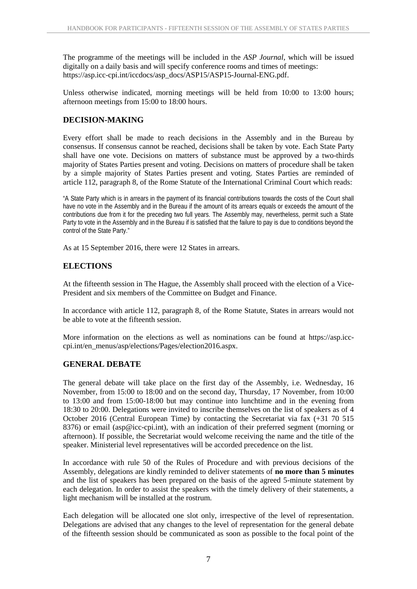The programme of the meetings will be included in the *ASP Journal*, which will be issued digitally on a daily basis and will specify conference rooms and times of meetings: https://asp.icc-cpi.int/iccdocs/asp\_docs/ASP15/ASP15-Journal-ENG.pdf.

Unless otherwise indicated, morning meetings will be held from 10:00 to 13:00 hours; afternoon meetings from 15:00 to 18:00 hours.

## **DECISION-MAKING**

Every effort shall be made to reach decisions in the Assembly and in the Bureau by consensus. If consensus cannot be reached, decisions shall be taken by vote. Each State Party shall have one vote. Decisions on matters of substance must be approved by a two-thirds majority of States Parties present and voting. Decisions on matters of procedure shall be taken by a simple majority of States Parties present and voting. States Parties are reminded of article 112, paragraph 8, of the Rome Statute of the International Criminal Court which reads:

"A State Party which is in arrears in the payment of its financial contributions towards the costs of the Court shall have no vote in the Assembly and in the Bureau if the amount of its arrears equals or exceeds the amount of the contributions due from it for the preceding two full years. The Assembly may, nevertheless, permit such a State Party to vote in the Assembly and in the Bureau if is satisfied that the failure to pay is due to conditions beyond the control of the State Party."

As at 15 September 2016, there were 12 States in arrears.

## **ELECTIONS**

At the fifteenth session in The Hague, the Assembly shall proceed with the election of a Vice- President and six members of the Committee on Budget and Finance.

In accordance with article 112, paragraph 8, of the Rome Statute, States in arrears would not be able to vote at the fifteenth session.

More information on the elections as well as nominations can be found at https://asp.icc cpi.int/en\_menus/asp/elections/Pages/election2016.aspx.

## **GENERAL DEBATE**

The general debate will take place on the first day of the Assembly, i.e. Wednesday, 16 November, from 15:00 to 18:00 and on the second day, Thursday, 17 November, from 10:00 to 13:00 and from 15:00-18:00 but may continue into lunchtime and in the evening from 18:30 to 20:00. Delegations were invited to inscribe themselves on the list of speakers as of 4 October 2016 (Central European Time) by contacting the Secretariat via fax (+31 70 515 8376) or email (asp@icc-cpi.int), with an indication of their preferred segment (morning or afternoon). If possible, the Secretariat would welcome receiving the name and the title of the speaker. Ministerial level representatives will be accorded precedence on the list.

In accordance with rule 50 of the Rules of Procedure and with previous decisions of the Assembly, delegations are kindly reminded to deliver statements of **no more than 5 minutes** and the list of speakers has been prepared on the basis of the agreed 5-minute statement by each delegation. In order to assist the speakers with the timely delivery of their statements, a light mechanism will be installed at the rostrum.

Each delegation will be allocated one slot only, irrespective of the level of representation. Delegations are advised that any changes to the level of representation for the general debate of the fifteenth session should be communicated as soon as possible to the focal point of the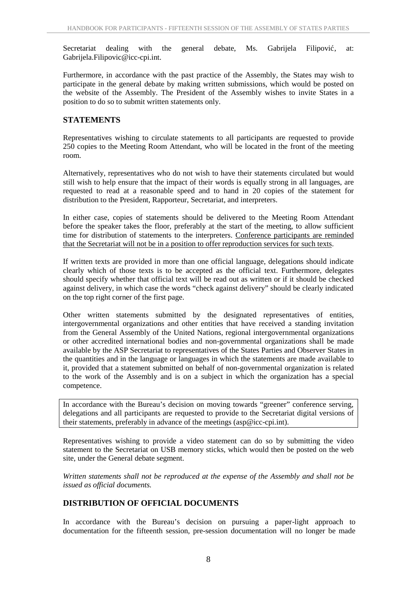Secretariat dealing with the general debate, Ms. Gabrijela Filipovi, at: Gabrijela.Filipovic@icc-cpi.int.

Furthermore, in accordance with the past practice of the Assembly, the States may wish to participate in the general debate by making written submissions, which would be posted on the website of the Assembly. The President of the Assembly wishes to invite States in a position to do so to submit written statements only.

## **STATEMENTS**

Representatives wishing to circulate statements to all participants are requested to provide 250 copies to the Meeting Room Attendant, who will be located in the front of the meeting room.

Alternatively, representatives who do not wish to have their statements circulated but would still wish to help ensure that the impact of their words is equally strong in all languages, are requested to read at a reasonable speed and to hand in 20 copies of the statement for distribution to the President, Rapporteur, Secretariat, and interpreters.

In either case, copies of statements should be delivered to the Meeting Room Attendant before the speaker takes the floor, preferably at the start of the meeting, to allow sufficient time for distribution of statements to the interpreters. Conference participants are reminded that the Secretariat will not be in a position to offer reproduction services for such texts.

If written texts are provided in more than one official language, delegations should indicate clearly which of those texts is to be accepted as the official text. Furthermore, delegates should specify whether that official text will be read out as written or if it should be checked against delivery, in which case the words "check against delivery" should be clearly indicated on the top right corner of the first page.

Other written statements submitted by the designated representatives of entities, intergovernmental organizations and other entities that have received a standing invitation from the General Assembly of the United Nations, regional intergovernmental organizations or other accredited international bodies and non-governmental organizations shall be made available by the ASP Secretariat to representatives of the States Parties and Observer States in the quantities and in the language or languages in which the statements are made available to it, provided that a statement submitted on behalf of non-governmental organization is related to the work of the Assembly and is on a subject in which the organization has a special competence.

In accordance with the Bureau's decision on moving towards "greener" conference serving, delegations and all participants are requested to provide to the Secretariat digital versions of their statements, preferably in advance of the meetings (asp@icc-cpi.int).

Representatives wishing to provide a video statement can do so by submitting the video statement to the Secretariat on USB memory sticks, which would then be posted on the web site, under the General debate segment.

*Written statements shall not be reproduced at the expense of the Assembly and shall not be issued as official documents.*

## **DISTRIBUTION OF OFFICIAL DOCUMENTS**

In accordance with the Bureau's decision on pursuing a paper-light approach to documentation for the fifteenth session, pre-session documentation will no longer be made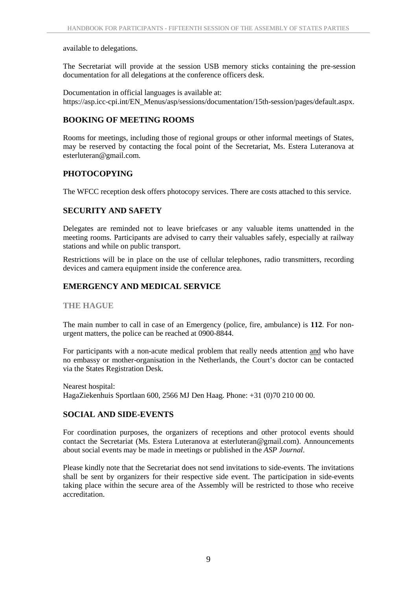#### available to delegations.

The Secretariat will provide at the session USB memory sticks containing the pre-session documentation for all delegations at the conference officers desk.

Documentation in official languages is available at: https://asp.icc-cpi.int/EN\_Menus/asp/sessions/documentation/15th-session/pages/default.aspx.

## **BOOKING OF MEETING ROOMS**

Rooms for meetings, including those of regional groups or other informal meetings of States, may be reserved by contacting the focal point of the Secretariat, Ms. Estera Luteranova at esterluteran@gmail.com.

## **PHOTOCOPYING**

The WFCC reception desk offers photocopy services. There are costs attached to this service.

## **SECURITY AND SAFETY**

Delegates are reminded not to leave briefcases or any valuable items unattended in the meeting rooms. Participants are advised to carry their valuables safely, especially at railway stations and while on public transport.

Restrictions will be in place on the use of cellular telephones, radio transmitters, recording devices and camera equipment inside the conference area.

## **EMERGENCY AND MEDICAL SERVICE**

**THE HAGUE**

The main number to call in case of an Emergency (police, fire, ambulance) is **112**. For non urgent matters, the police can be reached at 0900-8844.

For participants with a non-acute medical problem that really needs attention and who have no embassy or mother-organisation in the Netherlands, the Court's doctor can be contacted via the States Registration Desk.

Nearest hospital: HagaZiekenhuis Sportlaan 600, 2566 MJ Den Haag. Phone: +31 (0)70 210 00 00.

## **SOCIAL AND SIDE-EVENTS**

For coordination purposes, the organizers of receptions and other protocol events should contact the Secretariat (Ms. Estera Luteranova at esterluteran@gmail.com). Announcements about social events may be made in meetings or published in the *ASP Journal*.

Please kindly note that the Secretariat does not send invitations to side-events. The invitations shall be sent by organizers for their respective side event. The participation in side-events taking place within the secure area of the Assembly will be restricted to those who receive accreditation.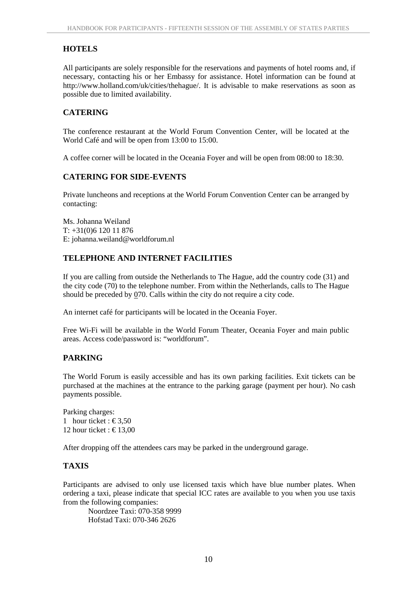# **HOTELS**

All participants are solely responsible for the reservations and payments of hotel rooms and, if necessary, contacting his or her Embassy for assistance. Hotel information can be found at http://www.holland.com/uk/cities/thehague/. It is advisable to make reservations as soon as possible due to limited availability.

## **CATERING**

The conference restaurant at the World Forum Convention Center, will be located at the World Café and will be open from 13:00 to 15:00.

A coffee corner will be located in the Oceania Foyer and will be open from 08:00 to 18:30.

## **CATERING FOR SIDE-EVENTS**

Private luncheons and receptions at the World Forum Convention Center can be arranged by contacting:

Ms. Johanna Weiland T: +31(0)6 120 11 876 E: johanna.weiland@worldforum.nl

## **TELEPHONE AND INTERNET FACILITIES**

If you are calling from outside the Netherlands to The Hague, add the country code (31) and the city code (70) to the telephone number. From within the Netherlands, calls to The Hague should be preceded by 070. Calls within the city do not require a city code.

An internet café for participants will be located in the Oceania Foyer.

Free Wi-Fi will be available in the World Forum Theater, Oceania Foyer and main public areas. Access code/password is: "worldforum".

# **PARKING**

The World Forum is easily accessible and has its own parking facilities. Exit tickets can be purchased at the machines at the entrance to the parking garage (payment per hour). No cash payments possible.

Parking charges: 1 hour ticket :  $\text{\textsterling}3,50$ 12 hour ticket :  $\text{\textsterling}13.00$ 

After dropping off the attendees cars may be parked in the underground garage.

## **TAXIS**

Participants are advised to only use licensed taxis which have blue number plates. When ordering a taxi, please indicate that special ICC rates are available to you when you use taxis from the following companies:

Noordzee Taxi: 070-358 9999 Hofstad Taxi: 070-346 2626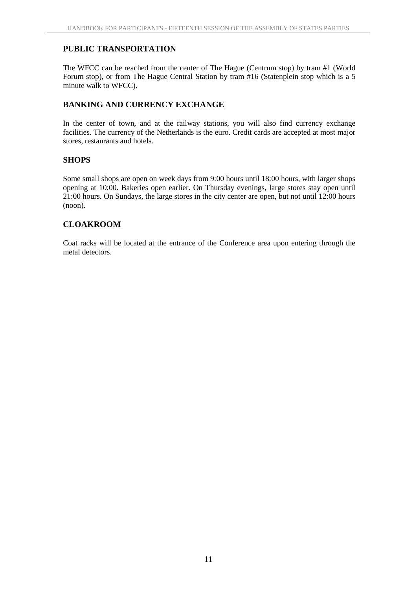## **PUBLIC TRANSPORTATION**

The WFCC can be reached from the center of The Hague (Centrum stop) by tram #1 (World Forum stop), or from The Hague Central Station by tram #16 (Statenplein stop which is a 5 minute walk to WFCC).

## **BANKING AND CURRENCY EXCHANGE**

In the center of town, and at the railway stations, you will also find currency exchange facilities. The currency of the Netherlands is the euro. Credit cards are accepted at most major stores, restaurants and hotels.

## **SHOPS**

Some small shops are open on week days from 9:00 hours until 18:00 hours, with larger shops opening at 10:00. Bakeries open earlier. On Thursday evenings, large stores stay open until 21:00 hours. On Sundays, the large stores in the city center are open, but not until 12:00 hours (noon).

## **CLOAKROOM**

Coat racks will be located at the entrance of the Conference area upon entering through the metal detectors.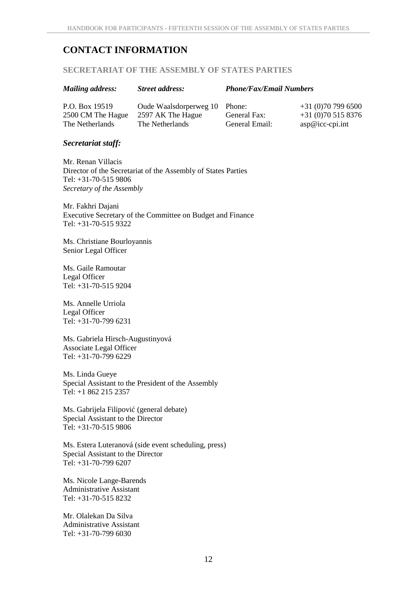# **CONTACT INFORMATION**

#### **SECRETARIAT OF THE ASSEMBLY OF STATES PARTIES**

| <b>Mailing address:</b>             | <b>Street address:</b>                      | <b>Phone/Fax/Email Numbers</b> |                                        |
|-------------------------------------|---------------------------------------------|--------------------------------|----------------------------------------|
| P.O. Box 19519<br>2500 CM The Hague | Oude Waalsdorperweg 10<br>2597 AK The Hague | Phone:<br>General Fax:         | $+31(0)707996500$<br>$+31(0)705158376$ |
| The Netherlands                     | The Netherlands                             | General Email:                 | $asp@icc-cpi.int$                      |

#### *Secretariat staff:*

Mr. Renan Villacis Director of the Secretariat of the Assembly of States Parties Tel: +31-70-515 9806 *Secretary of the Assembly*

Mr. Fakhri Dajani Executive Secretary of the Committee on Budget and Finance Tel: +31-70-515 9322

Ms. Christiane Bourloyannis Senior Legal Officer

Ms. Gaile Ramoutar Legal Officer Tel: +31-70-515 9204

Ms. Annelle Urriola Legal Officer Tel: +31-70-799 6231

Ms. Gabriela Hirsch-Augustinyová Associate Legal Officer Tel: +31-70-799 6229

Ms. Linda Gueye Special Assistant to the President of the Assembly Tel: +1 862 215 2357

Ms. Gabrijela Filipovi (general debate) Special Assistant to the Director Tel: +31-70-515 9806

Ms. Estera Luteranová (side event scheduling, press) Special Assistant to the Director Tel: +31-70-799 6207

Ms. Nicole Lange-Barends Administrative Assistant Tel: +31-70-515 8232

Mr. Olalekan Da Silva Administrative Assistant Tel: +31-70-799 6030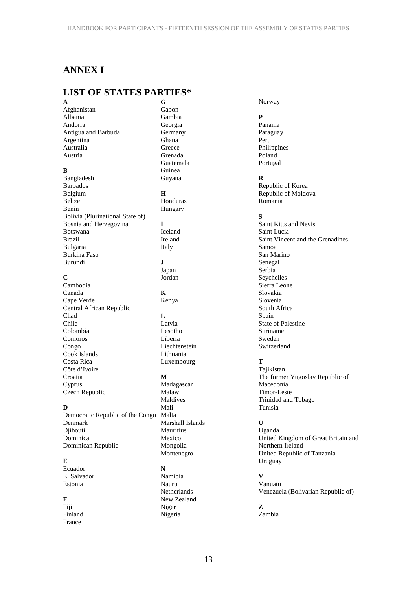# **ANNEX I**

#### **LIST OF STATES PARTIES\* A**

Afghanistan Albania Andorra Antigua and Barbuda Argentina Australia Austria

#### **B**

Bangladesh Barbados Belgium Belize Benin Bolivia (Plurinational State of) Bosnia and Herzegovina Botswana Brazil Bulgaria Burkina Faso Burundi

#### **C**

Cambodia Canada Cape Verde Central African Republic Chad Chile Colombia Comoros Congo Cook Islands Costa Rica Côte d'Ivoire Croatia Cyprus

#### **D**

Czech Republic

Democratic Republic of the Congo Denmark Djibouti Dominica Dominican Republic

#### **E**

Ecuador El Salvador Estonia

#### **F**

Fiji Finland France

**G** Gabon Gambia Georgia **Germany** Ghana **Greece** Grenada Guatemala Guinea Guyana

#### **H**

Honduras Hungary

## **I**

Iceland Ireland Italy **J**

Japan Jordan

**K** Kenya

**L** Latvia Lesotho Liberia Liechtenstein Lithuania Luxembourg

#### **M**

Madagascar Malawi Maldives Mali Malta Marshall Islands **Mauritius** Mexico Mongolia Montenegro **N** Namibia Nauru **Netherlands** New Zealand Niger

Nigeria

Norway

#### **P**

Panama Paraguay Peru Philippines Poland Portugal

#### **R**

Republic of Korea Republic of Moldova Romania

#### **S**

Saint Kitts and Nevis Saint Lucia Saint Vincent and the Grenadines Samoa San Marino Senegal Serbia Seychelles Sierra Leone Slovakia Slovenia South Africa Spain State of Palestine Suriname Sweden Switzerland

#### **T**

Tajikistan The former Yugoslav Republic of Macedonia Timor-Leste Trinidad and Tobago Tunisia

#### **U**

Uganda United Kingdom of Great Britain and Northern Ireland United Republic of Tanzania Uruguay

#### **V**

Vanuatu Venezuela (Bolivarian Republic of)

# **Z**

Zambia